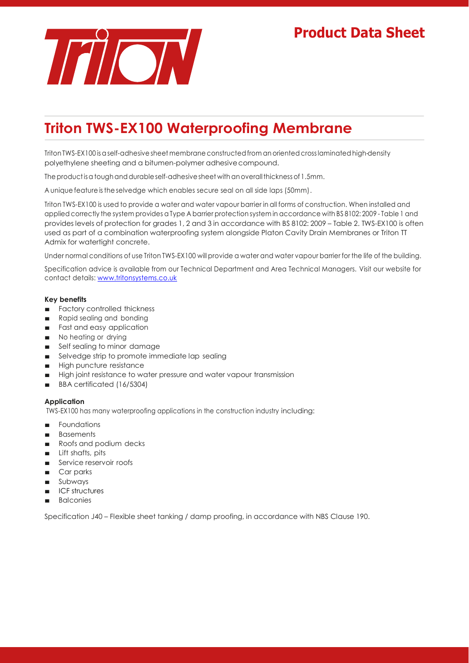# **Product Data Sheet**



# **Triton TWS-EX100 Waterproofing Membrane**

Triton TWS-EX100 is a self-adhesive sheet membrane constructed from an oriented cross laminated high-density polyethylene sheeting and a bitumen-polymer adhesive compound.

The product is a tough and durable self-adhesive sheet with an overall thickness of 1.5mm.

A unique feature is the selvedge which enables secure seal on all side laps (50mm).

Triton TWS-EX100 is used to provide a water and water vapour barrier in all forms of construction. When installed and applied correctly the system provides a Type A barrier protection system in accordance with BS 8102: 2009 - Table 1 and provides levels of protection for grades 1, 2 and 3 in accordance with BS 8102: 2009 – Table 2. TWS-EX100 is often used as part of a combination waterproofing system alongside Platon Cavity Drain Membranes or Triton TT Admix for watertight concrete.

Under normal conditions of use Triton TWS-EX100 will provide a water and water vapour barrier for the life of the building.

Specification advice is available from our Technical Department and Area Technical Managers. Visit our website for contact details: [www.tritonsystems.co.uk](http://www.tritonsystems.co.uk/)

### **Key benefits**

- Factory controlled thickness
- Rapid sealing and bonding
- Fast and easy application
- No heating or drying
- Self sealing to minor damage
- Selvedge strip to promote immediate lap sealing
- High puncture resistance
- High joint resistance to water pressure and water vapour transmission
- BBA certificated (16/5304)

#### **Application**

TWS-EX100 has many waterproofing applications in the construction industry including:

- Foundations
- Basements
- Roofs and podium decks
- Lift shafts, pits
- Service reservoir roofs
- Car parks
- Subways
- ICF structures
- Balconies

Specification J40 – Flexible sheet tanking / damp proofing, in accordance with NBS Clause 190.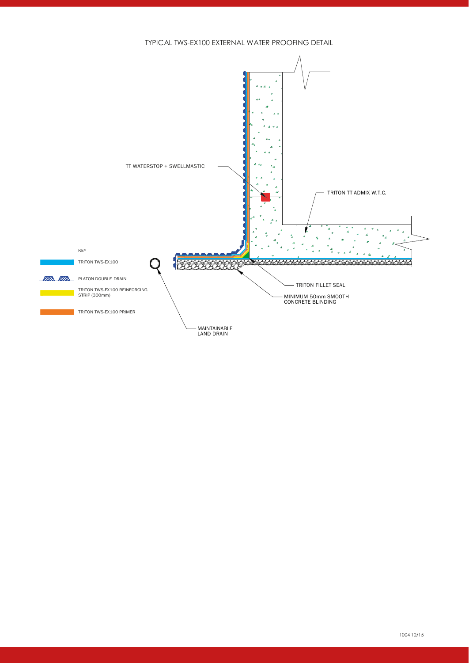TYPICAL TWS-EX100 EXTERNAL WATER PROOFING DETAIL